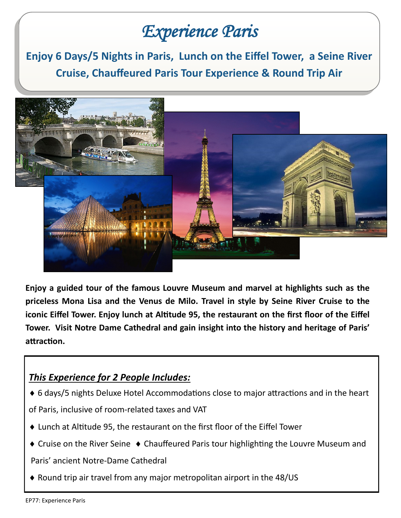## *Experience Paris*

**Enjoy 6 Days/5 Nights in Paris, Lunch on the Eiffel Tower, a Seine River Cruise, Chauffeured Paris Tour Experience & Round Trip Air**



**Enjoy a guided tour of the famous Louvre Museum and marvel at highlights such as the priceless Mona Lisa and the Venus de Milo. Travel in style by Seine River Cruise to the iconic Eiffel Tower. Enjoy lunch at Altitude 95, the restaurant on the first floor of the Eiffel Tower. Visit Notre Dame Cathedral and gain insight into the history and heritage of Paris' attraction.** 

## *This Experience for 2 People Includes:*

6 days/5 nights Deluxe Hotel Accommodations close to major attractions and in the heart

of Paris, inclusive of room-related taxes and VAT

- Lunch at Altitude 95, the restaurant on the first floor of the Eiffel Tower
- $\triangle$  Cruise on the River Seine  $\triangle$  Chauffeured Paris tour highlighting the Louvre Museum and

Paris' ancient Notre-Dame Cathedral

 $\triangle$  Round trip air travel from any major metropolitan airport in the 48/US